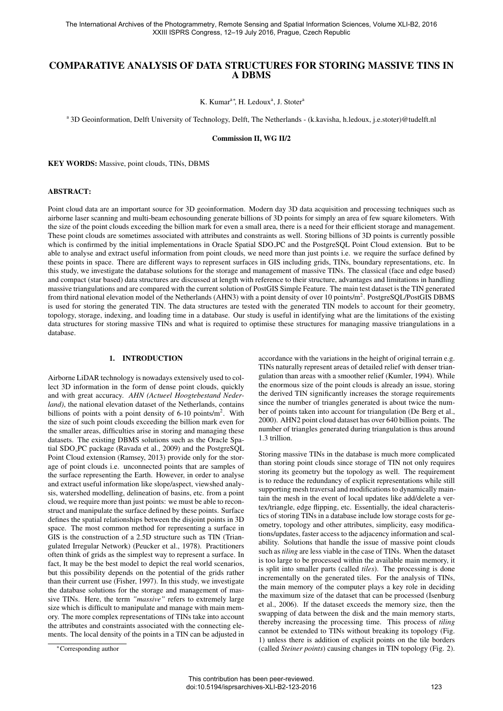# COMPARATIVE ANALYSIS OF DATA STRUCTURES FOR STORING MASSIVE TINS IN A DBMS

K. Kumar<sup>a\*</sup>, H. Ledoux<sup>a</sup>, J. Stoter<sup>a</sup>

<sup>a</sup> 3D Geoinformation, Delft University of Technology, Delft, The Netherlands - (k.kavisha, h.ledoux, j.e.stoter)@tudelft.nl

Commission II, WG II/2

KEY WORDS: Massive, point clouds, TINs, DBMS

#### ABSTRACT:

Point cloud data are an important source for 3D geoinformation. Modern day 3D data acquisition and processing techniques such as airborne laser scanning and multi-beam echosounding generate billions of 3D points for simply an area of few square kilometers. With the size of the point clouds exceeding the billion mark for even a small area, there is a need for their efficient storage and management. These point clouds are sometimes associated with attributes and constraints as well. Storing billions of 3D points is currently possible which is confirmed by the initial implementations in Oracle Spatial SDO<sub>-PC</sub> and the PostgreSQL Point Cloud extension. But to be able to analyse and extract useful information from point clouds, we need more than just points i.e. we require the surface defined by these points in space. There are different ways to represent surfaces in GIS including grids, TINs, boundary representations, etc. In this study, we investigate the database solutions for the storage and management of massive TINs. The classical (face and edge based) and compact (star based) data structures are discussed at length with reference to their structure, advantages and limitations in handling massive triangulations and are compared with the current solution of PostGIS Simple Feature. The main test dataset is the TIN generated from third national elevation model of the Netherlands (AHN3) with a point density of over 10 points/m<sup>2</sup>. PostgreSQL/PostGIS DBMS is used for storing the generated TIN. The data structures are tested with the generated TIN models to account for their geometry, topology, storage, indexing, and loading time in a database. Our study is useful in identifying what are the limitations of the existing data structures for storing massive TINs and what is required to optimise these structures for managing massive triangulations in a database.

## 1. INTRODUCTION

Airborne LiDAR technology is nowadays extensively used to collect 3D information in the form of dense point clouds, quickly and with great accuracy. *AHN (Actueel Hoogtebestand Nederland)*, the national elevation dataset of the Netherlands, contains billions of points with a point density of 6-10 points/ $m^2$ . With the size of such point clouds exceeding the billion mark even for the smaller areas, difficulties arise in storing and managing these datasets. The existing DBMS solutions such as the Oracle Spatial SDO PC package (Ravada et al., 2009) and the PostgreSQL Point Cloud extension (Ramsey, 2013) provide only for the storage of point clouds i.e. unconnected points that are samples of the surface representing the Earth. However, in order to analyse and extract useful information like slope/aspect, viewshed analysis, watershed modelling, delineation of basins, etc. from a point cloud, we require more than just points: we must be able to reconstruct and manipulate the surface defined by these points. Surface defines the spatial relationships between the disjoint points in 3D space. The most common method for representing a surface in GIS is the construction of a 2.5D structure such as TIN (Triangulated Irregular Network) (Peucker et al., 1978). Practitioners often think of grids as the simplest way to represent a surface. In fact, It may be the best model to depict the real world scenarios, but this possibility depends on the potential of the grids rather than their current use (Fisher, 1997). In this study, we investigate the database solutions for the storage and management of massive TINs. Here, the term *"massive"* refers to extremely large size which is difficult to manipulate and manage with main memory. The more complex representations of TINs take into account the attributes and constraints associated with the connecting elements. The local density of the points in a TIN can be adjusted in accordance with the variations in the height of original terrain e.g.

Storing massive TINs in the database is much more complicated than storing point clouds since storage of TIN not only requires storing its geometry but the topology as well. The requirement is to reduce the redundancy of explicit representations while still supporting mesh traversal and modifications to dynamically maintain the mesh in the event of local updates like add/delete a vertex/triangle, edge flipping, etc. Essentially, the ideal characteristics of storing TINs in a database include low storage costs for geometry, topology and other attributes, simplicity, easy modifications/updates, faster access to the adjacency information and scalability. Solutions that handle the issue of massive point clouds such as *tiling* are less viable in the case of TINs. When the dataset is too large to be processed within the available main memory, it is split into smaller parts (called *tiles*). The processing is done incrementally on the generated tiles. For the analysis of TINs, the main memory of the computer plays a key role in deciding the maximum size of the dataset that can be processed (Isenburg et al., 2006). If the dataset exceeds the memory size, then the swapping of data between the disk and the main memory starts, thereby increasing the processing time. This process of *tiling* cannot be extended to TINs without breaking its topology (Fig. 1) unless there is addition of explicit points on the tile borders (called *Steiner points*) causing changes in TIN topology (Fig. 2).

TINs naturally represent areas of detailed relief with denser triangulation than areas with a smoother relief (Kumler, 1994). While the enormous size of the point clouds is already an issue, storing the derived TIN significantly increases the storage requirements since the number of triangles generated is about twice the number of points taken into account for triangulation (De Berg et al., 2000). AHN2 point cloud dataset has over 640 billion points. The number of triangles generated during triangulation is thus around 1.3 trillion.

<sup>⇤</sup>Corresponding author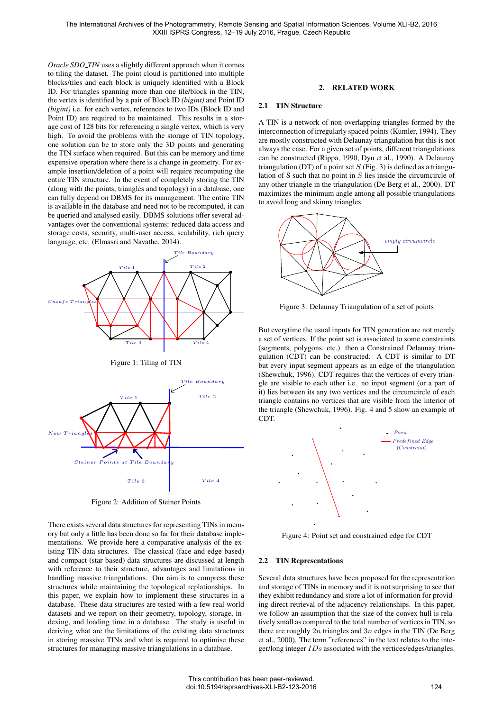*Oracle SDO TIN* uses a slightly different approach when it comes to tiling the dataset. The point cloud is partitioned into multiple blocks/tiles and each block is uniquely identified with a Block ID. For triangles spanning more than one tile/block in the TIN, the vertex is identified by a pair of Block ID *(bigint)* and Point ID *(bigint)* i.e. for each vertex, references to two IDs (Block ID and Point ID) are required to be maintained. This results in a storage cost of 128 bits for referencing a single vertex, which is very high. To avoid the problems with the storage of TIN topology, one solution can be to store only the 3D points and generating the TIN surface when required. But this can be memory and time expensive operation where there is a change in geometry. For example insertion/deletion of a point will require recomputing the entire TIN structure. In the event of completely storing the TIN (along with the points, triangles and topology) in a database, one can fully depend on DBMS for its management. The entire TIN is available in the database and need not to be recomputed, it can be queried and analysed easily. DBMS solutions offer several advantages over the conventional systems: reduced data access and storage costs, security, multi-user access, scalability, rich query language, etc. (Elmasri and Navathe, 2014).



Figure 2: Addition of Steiner Points

There exists several data structures for representing TINs in memory but only a little has been done so far for their database implementations. We provide here a comparative analysis of the existing TIN data structures. The classical (face and edge based) and compact (star based) data structures are discussed at length with reference to their structure, advantages and limitations in handling massive triangulations. Our aim is to compress these structures while maintaining the topological replationships. In this paper, we explain how to implement these structures in a database. These data structures are tested with a few real world datasets and we report on their geometry, topology, storage, indexing, and loading time in a database. The study is useful in deriving what are the limitations of the existing data structures in storing massive TINs and what is required to optimise these structures for managing massive triangulations in a database.

#### 2. RELATED WORK

#### 2.1 TIN Structure

A TIN is a network of non-overlapping triangles formed by the interconnection of irregularly spaced points (Kumler, 1994). They are mostly constructed with Delaunay triangulation but this is not always the case. For a given set of points, different triangulations can be constructed (Rippa, 1990, Dyn et al., 1990). A Delaunay triangulation (DT) of a point set *S* (Fig. 3) is defined as a triangulation of S such that no point in *S* lies inside the circumcircle of any other triangle in the triangulation (De Berg et al., 2000). DT maximizes the minimum angle among all possible triangulations to avoid long and skinny triangles.



Figure 3: Delaunay Triangulation of a set of points

But everytime the usual inputs for TIN generation are not merely a set of vertices. If the point set is associated to some constraints (segments, polygons, etc.) then a Constrained Delaunay triangulation (CDT) can be constructed. A CDT is similar to DT but every input segment appears as an edge of the triangulation (Shewchuk, 1996). CDT requires that the vertices of every triangle are visible to each other i.e. no input segment (or a part of it) lies between its any two vertices and the circumcircle of each triangle contains no vertices that are visible from the interior of the triangle (Shewchuk, 1996). Fig. 4 and 5 show an example of CDT.



Figure 4: Point set and constrained edge for CDT

#### 2.2 TIN Representations

Several data structures have been proposed for the representation and storage of TINs in memory and it is not surprising to see that they exhibit redundancy and store a lot of information for providing direct retrieval of the adjacency relationships. In this paper, we follow an assumption that the size of the convex hull is relatively small as compared to the total number of vertices in TIN, so there are roughly 2*n* triangles and 3*n* edges in the TIN (De Berg et al., 2000). The term "references" in the text relates to the integer/long integer *IDs* associated with the vertices/edges/triangles.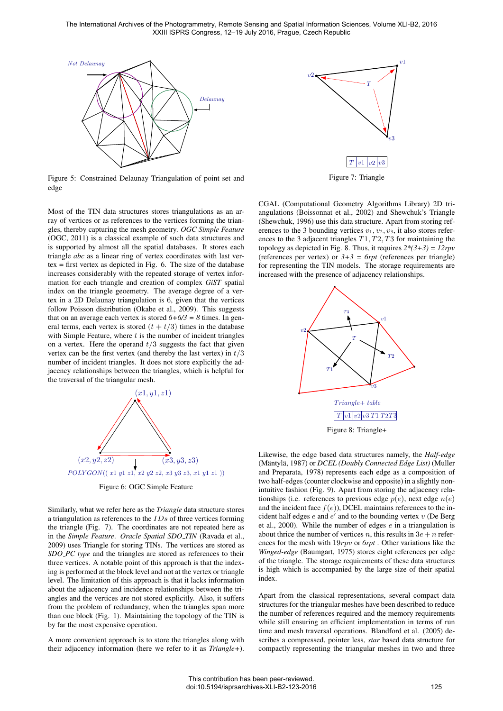

Figure 5: Constrained Delaunay Triangulation of point set and edge

Most of the TIN data structures stores triangulations as an array of vertices or as references to the vertices forming the triangles, thereby capturing the mesh geometry. *OGC Simple Feature* (OGC, 2011) is a classical example of such data structures and is supported by almost all the spatial databases. It stores each triangle *abc* as a linear ring of vertex coordinates with last ver $text{ text}$  = first vertex as depicted in Fig. 6. The size of the database increases considerably with the repeated storage of vertex information for each triangle and creation of complex *GiST* spatial index on the triangle geoemetry. The average degree of a vertex in a 2D Delaunay triangulation is 6, given that the vertices follow Poisson distribution (Okabe et al., 2009). This suggests that on an average each vertex is stored  $6+6/3 = 8$  times. In general terms, each vertex is stored  $(t + t/3)$  times in the database with Simple Feature, where *t* is the number of incident triangles on a vertex. Here the operand *t/*3 suggests the fact that given vertex can be the first vertex (and thereby the last vertex) in *t/*3 number of incident triangles. It does not store explicitly the adjacency relationships between the triangles, which is helpful for the traversal of the triangular mesh.



Figure 6: OGC Simple Feature

Similarly, what we refer here as the *Triangle* data structure stores a triangulation as references to the *IDs* of three vertices forming the triangle (Fig. 7). The coordinates are not repeated here as in the *Simple Feature*. *Oracle Spatial SDO TIN* (Ravada et al., 2009) uses Triangle for storing TINs. The vertices are stored as *SDO PC type* and the triangles are stored as references to their three vertices. A notable point of this approach is that the indexing is performed at the block level and not at the vertex or triangle level. The limitation of this approach is that it lacks information about the adjacency and incidence relationships between the triangles and the vertices are not stored explicitly. Also, it suffers from the problem of redundancy, when the triangles span more than one block (Fig. 1). Maintaining the topology of the TIN is by far the most expensive operation.

A more convenient approach is to store the triangles along with their adjacency information (here we refer to it as *Triangle+*).



Figure 7: Triangle

CGAL (Computational Geometry Algorithms Library) 2D triangulations (Boissonnat et al., 2002) and Shewchuk's Triangle (Shewchuk, 1996) use this data structure. Apart from storing references to the 3 bounding vertices  $v_1, v_2, v_3$ , it also stores references to the 3 adjacent triangles *T*1*, T*2*, T*3 for maintaining the topology as depicted in Fig. 8. Thus, it requires *2\*(3+3) = 12rpv* (references per vertex) or  $3+3 = 6$ rpt (references per triangle) for representing the TIN models. The storage requirements are increased with the presence of adjacency relationships.



Likewise, the edge based data structures namely, the *Half-edge* (Mäntylä, 1987) or *DCEL* (Doubly Connected Edge List) (Muller and Preparata, 1978) represents each edge as a composition of two half-edges (counter clockwise and opposite) in a slightly nonintuitive fashion (Fig. 9). Apart from storing the adjacency relationships (i.e. references to previous edge  $p(e)$ , next edge  $n(e)$ and the incident face  $f(e)$ ), DCEL maintains references to the incident half edges  $e$  and  $e'$  and to the bounding vertex  $v$  (De Berg et al., 2000). While the number of edges *e* in a triangulation is about thrice the number of vertices *n*, this results in  $3e + n$  references for the mesh with 19*rpv* or *6rpt* . Other variations like the *Winged-edge* (Baumgart, 1975) stores eight references per edge of the triangle. The storage requirements of these data structures is high which is accompanied by the large size of their spatial index.

Apart from the classical representations, several compact data structures for the triangular meshes have been described to reduce the number of references required and the memory requirements while still ensuring an efficient implementation in terms of run time and mesh traversal operations. Blandford et al. (2005) describes a compressed, pointer less, *star* based data structure for compactly representing the triangular meshes in two and three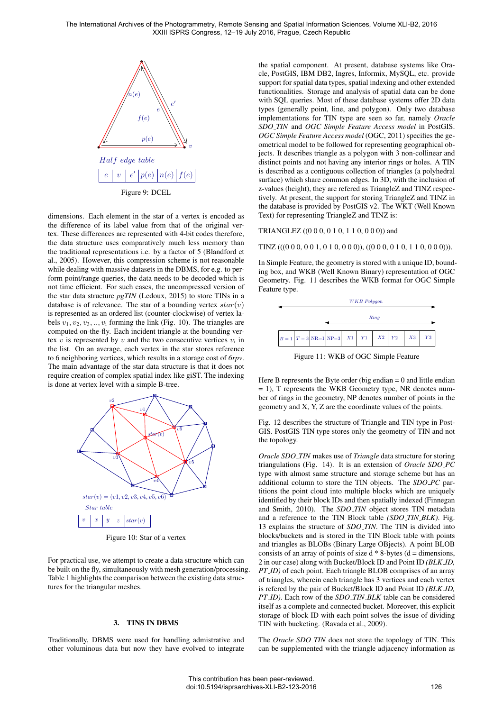

dimensions. Each element in the star of a vertex is encoded as the difference of its label value from that of the original vertex. These differences are represented with 4-bit codes therefore, the data structure uses comparatively much less memory than the traditional representations i.e. by a factor of 5 (Blandford et al., 2005). However, this compression scheme is not reasonable while dealing with massive datasets in the DBMS, for e.g. to perform point/range queries, the data needs to be decoded which is not time efficient. For such cases, the uncompressed version of the star data structure *pgTIN* (Ledoux, 2015) to store TINs in a database is of relevance. The star of a bounding vertex *star*(*v*) is represented as an ordered list (counter-clockwise) of vertex labels  $v_1, v_2, v_3, \ldots, v_i$  forming the link (Fig. 10). The triangles are computed on-the-fly. Each incident triangle at the bounding vertex  $v$  is represented by  $v$  and the two consecutive vertices  $v_i$  in the list. On an average, each vertex in the star stores reference to 6 neighboring vertices, which results in a storage cost of *6rpv*. The main advantage of the star data structure is that it does not require creation of complex spatial index like giST. The indexing is done at vertex level with a simple B-tree.



Figure 10: Star of a vertex

For practical use, we attempt to create a data structure which can be built on the fly, simultaneously with mesh generation/processing. Table 1 highlights the comparison between the existing data structures for the triangular meshes.

## 3. TINS IN DBMS

Traditionally, DBMS were used for handling admistrative and other voluminous data but now they have evolved to integrate the spatial component. At present, database systems like Oracle, PostGIS, IBM DB2, Ingres, Informix, MySQL, etc. provide support for spatial data types, spatial indexing and other extended functionalities. Storage and analysis of spatial data can be done with SQL queries. Most of these database systems offer 2D data types (generally point, line, and polygon). Only two database implementations for TIN type are seen so far, namely *Oracle SDO TIN* and *OGC Simple Feature Access model* in PostGIS. *OGC Simple Feature Access model* (OGC, 2011) specifies the geometrical model to be followed for representing geographical objects. It describes triangle as a polygon with 3 non-collinear and distinct points and not having any interior rings or holes. A TIN is described as a contiguous collection of triangles (a polyhedral surface) which share common edges. In 3D, with the inclusion of z-values (height), they are refered as TriangleZ and TINZ respectively. At present, the support for storing TriangleZ and TINZ in the database is provided by PostGIS v2. The WKT (Well Known Text) for representing TriangleZ and TINZ is:

### TRIANGLEZ ((0 0 0, 0 1 0, 1 1 0, 0 0 0)) and

TINZ  $(((0\ 0\ 0\ 0\ 0\ 0\ 1\ 0\ 1\ 0\ 0\ 0\ 0))$ ,  $((0\ 0\ 0\ 0\ 0\ 1\ 0\ 1\ 1\ 0\ 0\ 0\ 0)))$ .

In Simple Feature, the geometry is stored with a unique ID, bounding box, and WKB (Well Known Binary) representation of OGC Geometry. Fig. 11 describes the WKB format for OGC Simple Feature type.



Figure 11: WKB of OGC Simple Feature

Here B represents the Byte order (big endian  $= 0$  and little endian = 1), T represents the WKB Geometry type, NR denotes number of rings in the geometry, NP denotes number of points in the geometry and X, Y, Z are the coordinate values of the points.

Fig. 12 describes the structure of Triangle and TIN type in Post-GIS. PostGIS TIN type stores only the geometry of TIN and not the topology.

*Oracle SDO TIN* makes use of *Triangle* data structure for storing triangulations (Fig. 14). It is an extension of *Oracle SDO PC* type with almost same structure and storage scheme but has an additional column to store the TIN objects. The *SDO PC* partitions the point cloud into multiple blocks which are uniquely identified by their block IDs and then spatially indexed (Finnegan and Smith, 2010). The *SDO TIN* object stores TIN metadata and a reference to the TIN Block table *(SDO TIN BLK)*. Fig. 13 explains the structure of *SDO TIN*. The TIN is divided into blocks/buckets and is stored in the TIN Block table with points and triangles as BLOBs (Binary Large OBjects). A point BLOB consists of an array of points of size  $d * 8$ -bytes ( $d =$  dimensions, 2 in our case) along with Bucket/Block ID and Point ID *(BLK ID, PT ID*) of each point. Each triangle BLOB comprises of an array of triangles, wherein each triangle has 3 vertices and each vertex is refered by the pair of Bucket/Block ID and Point ID *(BLK ID, PT ID)*. Each row of the *SDO TIN BLK* table can be considered itself as a complete and connected bucket. Moreover, this explicit storage of block ID with each point solves the issue of dividing TIN with bucketing. (Ravada et al., 2009).

The *Oracle SDO\_TIN* does not store the topology of TIN. This can be supplemented with the triangle adjacency information as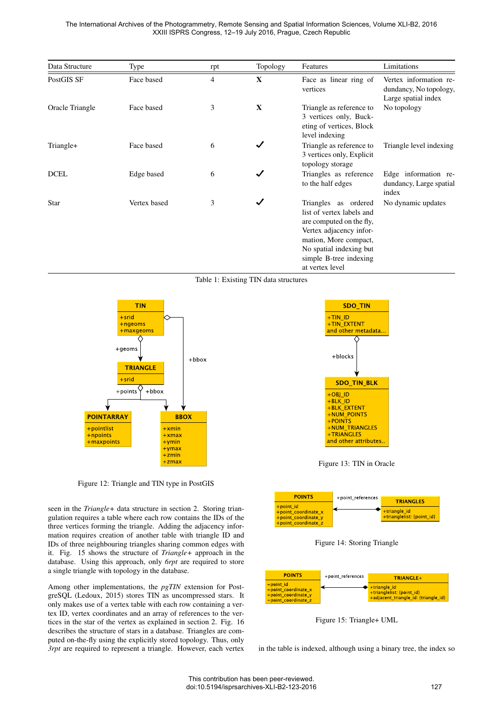The International Archives of the Photogrammetry, Remote Sensing and Spatial Information Sciences, Volume XLI-B2, 2016 XXIII ISPRS Congress, 12–19 July 2016, Prague, Czech Republic

| Data Structure  | Type         | rpt            | Topology     | Features                                                                                                                                                                                                  | Limitations                                                             |
|-----------------|--------------|----------------|--------------|-----------------------------------------------------------------------------------------------------------------------------------------------------------------------------------------------------------|-------------------------------------------------------------------------|
| PostGIS SF      | Face based   | $\overline{4}$ | $\mathbf{X}$ | Face as linear ring of<br>vertices                                                                                                                                                                        | Vertex information re-<br>dundancy, No topology,<br>Large spatial index |
| Oracle Triangle | Face based   | 3              | X            | Triangle as reference to<br>3 vertices only, Buck-<br>eting of vertices, Block<br>level indexing                                                                                                          | No topology                                                             |
| Triangle+       | Face based   | 6              | $\checkmark$ | Triangle as reference to<br>3 vertices only, Explicit<br>topology storage                                                                                                                                 | Triangle level indexing                                                 |
| <b>DCEL</b>     | Edge based   | 6              | $\checkmark$ | Triangles as reference<br>to the half edges                                                                                                                                                               | Edge information re-<br>dundancy, Large spatial<br>index                |
| <b>Star</b>     | Vertex based | 3              | $\checkmark$ | Triangles as ordered<br>list of vertex labels and<br>are computed on the fly,<br>Vertex adjacency infor-<br>mation, More compact,<br>No spatial indexing but<br>simple B-tree indexing<br>at vertex level | No dynamic updates                                                      |

Table 1: Existing TIN data structures



Figure 12: Triangle and TIN type in PostGIS

seen in the *Triangle+* data structure in section 2. Storing triangulation requires a table where each row contains the IDs of the three vertices forming the triangle. Adding the adjacency information requires creation of another table with triangle ID and IDs of three neighbouring triangles sharing common edges with it. Fig. 15 shows the structure of *Triangle+* approach in the database. Using this approach, only *6rpt* are required to store a single triangle with topology in the database.

Among other implementations, the *pgTIN* extension for PostgreSQL (Ledoux, 2015) stores TIN as uncompressed stars. It only makes use of a vertex table with each row containing a vertex ID, vertex coordinates and an array of references to the vertices in the star of the vertex as explained in section 2. Fig. 16 describes the structure of stars in a database. Triangles are computed on-the-fly using the explicitly stored topology. Thus, only *3rpt* are required to represent a triangle. However, each vertex



Figure 13: TIN in Oracle



Figure 14: Storing Triangle



Figure 15: Triangle+ UML

in the table is indexed, although using a binary tree, the index so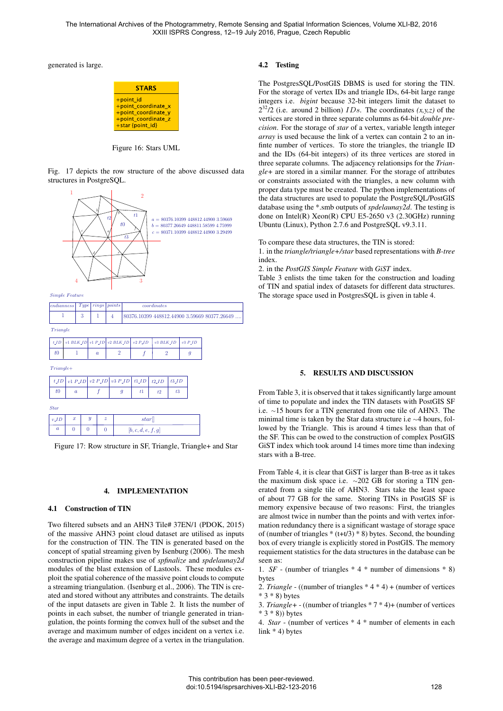The International Archives of the Photogrammetry, Remote Sensing and Spatial Information Sciences, Volume XLI-B2, 2016 XXIII ISPRS Congress, 12–19 July 2016, Prague, Czech Republic

generated is large.

| <b>STARS</b>                                                                                       |
|----------------------------------------------------------------------------------------------------|
| +point id<br>+point coordinate x<br>+point coordinate y<br>+point coordinate z<br>+star {point id} |

Figure 16: Stars UML

Fig. 17 depicts the row structure of the above discussed data structures in PostgreSQL.



Figure 17: Row structure in SF, Triangle, Triangle+ and Star

### 4. IMPLEMENTATION

#### 4.1 Construction of TIN

Two filtered subsets and an AHN3 Tile# 37EN/1 (PDOK, 2015) of the massive AHN3 point cloud dataset are utilised as inputs for the construction of TIN. The TIN is generated based on the concept of spatial streaming given by Isenburg (2006). The mesh construction pipeline makes use of *spfinalize* and *spdelaunay2d* modules of the blast extension of Lastools. These modules exploit the spatial coherence of the massive point clouds to compute a streaming triangulation. (Isenburg et al., 2006). The TIN is created and stored without any attributes and constraints. The details of the input datasets are given in Table 2. It lists the number of points in each subset, the number of triangle generated in triangulation, the points forming the convex hull of the subset and the average and maximum number of edges incident on a vertex i.e. the average and maximum degree of a vertex in the triangulation.

## 4.2 Testing

The PostgresSQL/PostGIS DBMS is used for storing the TIN. For the storage of vertex IDs and triangle IDs, 64-bit large range integers i.e. *bigint* because 32-bit integers limit the dataset to  $2^{32}/2$  (i.e. around 2 billion) *IDs*. The coordinates  $(x, y, z)$  of the vertices are stored in three separate columns as 64-bit *double precision*. For the storage of *star* of a vertex, variable length integer *array* is used because the link of a vertex can contain 2 to an infinte number of vertices. To store the triangles, the triangle ID and the IDs (64-bit integers) of its three vertices are stored in three separate columns. The adjacency relationsips for the *Triangle+* are stored in a similar manner. For the storage of attributes or constraints associated with the triangles, a new column with proper data type must be created. The python implementations of the data structures are used to populate the PostgreSQL/PostGIS database using the \*.smb outputs of *spdelaunay2d*. The testing is done on Intel(R) Xeon(R) CPU E5-2650 v3 (2.30GHz) running Ubuntu (Linux), Python 2.7.6 and PostgreSQL v9.3.11.

To compare these data structures, the TIN is stored:

1. in the *triangle/triangle+/star* based representations with *B-tree* index.

2. in the *PostGIS Simple Feature* with *GiST* index.

Table 3 enlists the time taken for the construction and loading of TIN and spatial index of datasets for different data structures. The storage space used in PostgresSQL is given in table 4.

### 5. RESULTS AND DISCUSSION

From Table 3, it is observed that it takes significantly large amount of time to populate and index the TIN datasets with PostGIS SF i.e.  $\sim$ 15 hours for a TIN generated from one tile of AHN3. The minimal time is taken by the Star data structure i.e  $\sim$  4 hours, followed by the Triangle. This is around 4 times less than that of the SF. This can be owed to the construction of complex PostGIS GiST index which took around 14 times more time than indexing stars with a B-tree.

From Table 4, it is clear that GiST is larger than B-tree as it takes the maximum disk space i.e.  $\sim$  202 GB for storing a TIN generated from a single tile of AHN3. Stars take the least space of about 77 GB for the same. Storing TINs in PostGIS SF is memory expensive because of two reasons: First, the triangles are almost twice in number than the points and with vertex information redundancy there is a significant wastage of storage space of (number of triangles  $*(t+t/3) * 8$ ) bytes. Second, the bounding box of every triangle is explicitly stored in PostGIS. The memory requiement statistics for the data structures in the database can be seen as:

1. *SF* - (number of triangles \* 4 \* number of dimensions \* 8) bytes

2. *Triangle* - ((number of triangles \* 4 \* 4) + (number of vertices \* 3 \* 8) bytes

3. *Triangle+* - ((number of triangles \* 7 \* 4)+ (number of vertices  $* 3 * 8)$ ) bytes

4. *Star* - (number of vertices \* 4 \* number of elements in each link \* 4) bytes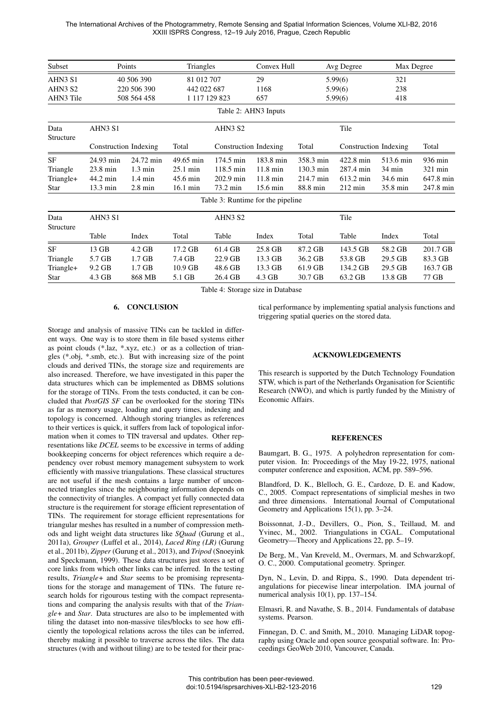The International Archives of the Photogrammetry, Remote Sensing and Spatial Information Sciences, Volume XLI-B2, 2016 XXIII ISPRS Congress, 12–19 July 2016, Prague, Czech Republic

| Subset                       | Points                           |                   | Triangles          |                                   | Convex Hull        |           | Avg Degree<br>Max Degree |                  |           |  |  |  |
|------------------------------|----------------------------------|-------------------|--------------------|-----------------------------------|--------------------|-----------|--------------------------|------------------|-----------|--|--|--|
| AHN3 S1                      | 40 506 390                       |                   | 81 012 707         |                                   | 29                 |           | 5.99(6)                  | 321              |           |  |  |  |
| AHN3 S2                      | 220 506 390                      |                   | 442 022 687        |                                   | 1168               | 5.99(6)   |                          | 238              |           |  |  |  |
| AHN3 Tile                    | 508 564 458                      |                   | 1 117 129 823      |                                   | 657                | 5.99(6)   |                          | 418              |           |  |  |  |
| Table 2: AHN3 Inputs         |                                  |                   |                    |                                   |                    |           |                          |                  |           |  |  |  |
| Data<br>Structure            | AHN3 S1<br>Construction Indexing |                   | AHN3 S2            |                                   |                    | Tile      |                          |                  |           |  |  |  |
|                              |                                  |                   | Total              | Construction Indexing             |                    | Total     | Construction Indexing    |                  | Total     |  |  |  |
| <b>SF</b>                    | 24.93 min                        | 24.72 min         | 49.65 min          | 174.5 min                         | 183.8 min          | 358.3 min | 422.8 min                | 513.6 min        | 936 min   |  |  |  |
| Triangle                     | 23.8 min                         | $1.3 \text{ min}$ | $25.1 \text{ min}$ | $118.5 \text{ min}$               | $11.8 \text{ min}$ | 130.3 min | 287.4 min                | $34 \text{ min}$ | 321 min   |  |  |  |
| Triangle+                    | 44.2 min                         | $1.4 \text{ min}$ | 45.6 min           | 202.9 min                         | 11.8 min           | 214.7 min | 613.2 min                | 34.6 min         | 647.8 min |  |  |  |
| Star                         | 13.3 min                         | $2.8 \text{ min}$ | 16.1 min           | 73.2 min                          | 15.6 min           | 88.8 min  | $212 \text{ min}$        | 35.8 min         | 247.8 min |  |  |  |
|                              |                                  |                   |                    | Table 3: Runtime for the pipeline |                    |           |                          |                  |           |  |  |  |
| AHN3 S1<br>Data<br>Structure |                                  |                   |                    | AHN3 S2                           |                    |           | Tile                     |                  |           |  |  |  |
|                              | Table                            | Index             | Total              | Table                             | Index              | Total     | Table                    | Index            | Total     |  |  |  |
| SF                           | 13 GB                            | $4.2$ GB          | 17.2 GB            | 61.4 GB                           | 25.8 GB            | 87.2 GB   | 143.5 GB                 | 58.2 GB          | 201.7 GB  |  |  |  |
| Triangle                     | 5.7 GB                           | $1.7$ GB          | 7.4 GB             | 22.9 GB                           | 13.3 GB            | 36.2 GB   | 53.8 GB                  | 29.5 GB          | 83.3 GB   |  |  |  |
| Triangle+                    | $9.2$ GB                         | $1.7$ GB          | $10.9$ GB          | 48.6 GB                           | 13.3 GB            | 61.9 GB   | 134.2 GB                 | 29.5 GB          | 163.7 GB  |  |  |  |
| Star                         | 4.3 GB                           | 868 MB            | 5.1 GB             | 26.4 GB                           | 4.3 GB             | 30.7 GB   | 63.2 GB                  | 13.8 GB          | 77 GB     |  |  |  |

Table 4: Storage size in Database

## 6. CONCLUSION

Storage and analysis of massive TINs can be tackled in different ways. One way is to store them in file based systems either as point clouds (\*.laz, \*.xyz, etc.) or as a collection of triangles (\*.obj, \*.smb, etc.). But with increasing size of the point clouds and derived TINs, the storage size and requirements are also increased. Therefore, we have investigated in this paper the data structures which can be implemented as DBMS solutions for the storage of TINs. From the tests conducted, it can be concluded that *PostGIS SF* can be overlooked for the storing TINs as far as memory usage, loading and query times, indexing and topology is concerned. Although storing triangles as references to their vertices is quick, it suffers from lack of topological information when it comes to TIN traversal and updates. Other representations like *DCEL* seems to be excessive in terms of adding bookkeeping concerns for object references which require a dependency over robust memory management subsystem to work efficiently with massive triangulations. These classical structures are not useful if the mesh contains a large number of unconnected triangles since the neighbouring information depends on the connectivity of triangles. A compact yet fully connected data structure is the requirement for storage efficient representation of TINs. The requirement for storage efficient representations for triangular meshes has resulted in a number of compression methods and light weight data structures like *SQuad* (Gurung et al., 2011a), *Grouper* (Luffel et al., 2014), *Laced Ring (LR)* (Gurung et al., 2011b), *Zipper* (Gurung et al., 2013), and *Tripod* (Snoeyink and Speckmann, 1999). These data structures just stores a set of core links from which other links can be inferred. In the testing results, *Triangle+* and *Star* seems to be promising representations for the storage and management of TINs. The future research holds for rigourous testing with the compact representations and comparing the analysis results with that of the *Triangle+* and *Star*. Data structures are also to be implemented with tiling the dataset into non-massive tiles/blocks to see how efficiently the topological relations across the tiles can be inferred, thereby making it possible to traverse across the tiles. The data structures (with and without tiling) are to be tested for their practical performance by implementing spatial analysis functions and triggering spatial queries on the stored data.

#### ACKNOWLEDGEMENTS

This research is supported by the Dutch Technology Foundation STW, which is part of the Netherlands Organisation for Scientific Research (NWO), and which is partly funded by the Ministry of Economic Affairs.

#### **REFERENCES**

Baumgart, B. G., 1975. A polyhedron representation for computer vision. In: Proceedings of the May 19-22, 1975, national computer conference and exposition, ACM, pp. 589–596.

Blandford, D. K., Blelloch, G. E., Cardoze, D. E. and Kadow, C., 2005. Compact representations of simplicial meshes in two and three dimensions. International Journal of Computational Geometry and Applications 15(1), pp. 3–24.

Boissonnat, J.-D., Devillers, O., Pion, S., Teillaud, M. and Yvinec, M., 2002. Triangulations in CGAL. Computational Geometry—Theory and Applications 22, pp. 5–19.

De Berg, M., Van Kreveld, M., Overmars, M. and Schwarzkopf, O. C., 2000. Computational geometry. Springer.

Dyn, N., Levin, D. and Rippa, S., 1990. Data dependent triangulations for piecewise linear interpolation. IMA journal of numerical analysis 10(1), pp. 137–154.

Elmasri, R. and Navathe, S. B., 2014. Fundamentals of database systems. Pearson.

Finnegan, D. C. and Smith, M., 2010. Managing LiDAR topography using Oracle and open source geospatial software. In: Proceedings GeoWeb 2010, Vancouver, Canada.